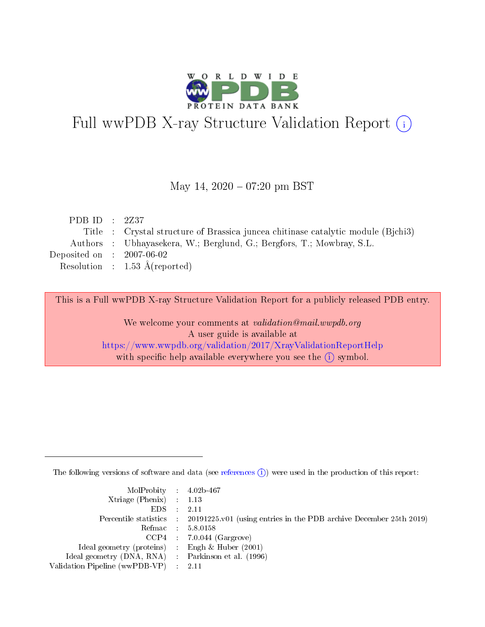

# Full wwPDB X-ray Structure Validation Report (i)

#### May 14,  $2020 - 07:20$  pm BST

| PDB ID : $2Z37$             |                                                                                 |
|-----------------------------|---------------------------------------------------------------------------------|
|                             | Title : Crystal structure of Brassica junce chitinase catalytic module (Bjchi3) |
|                             | Authors : Ubhayasekera, W.; Berglund, G.; Bergfors, T.; Mowbray, S.L.           |
| Deposited on : $2007-06-02$ |                                                                                 |
|                             | Resolution : $1.53 \text{ Å}$ (reported)                                        |
|                             |                                                                                 |

This is a Full wwPDB X-ray Structure Validation Report for a publicly released PDB entry.

We welcome your comments at validation@mail.wwpdb.org A user guide is available at <https://www.wwpdb.org/validation/2017/XrayValidationReportHelp> with specific help available everywhere you see the  $(i)$  symbol.

The following versions of software and data (see [references](https://www.wwpdb.org/validation/2017/XrayValidationReportHelp#references)  $(i)$ ) were used in the production of this report:

| MolProbity : $4.02b-467$                            |                                                                                            |
|-----------------------------------------------------|--------------------------------------------------------------------------------------------|
| Xtriage (Phenix) $: 1.13$                           |                                                                                            |
| EDS -                                               | 2.11                                                                                       |
|                                                     | Percentile statistics : 20191225.v01 (using entries in the PDB archive December 25th 2019) |
|                                                     | Refmac 58.0158                                                                             |
|                                                     | $CCP4$ 7.0.044 (Gargrove)                                                                  |
| Ideal geometry (proteins) : Engh $\&$ Huber (2001)  |                                                                                            |
| Ideal geometry (DNA, RNA) : Parkinson et al. (1996) |                                                                                            |
| Validation Pipeline (wwPDB-VP)                      | -2.11                                                                                      |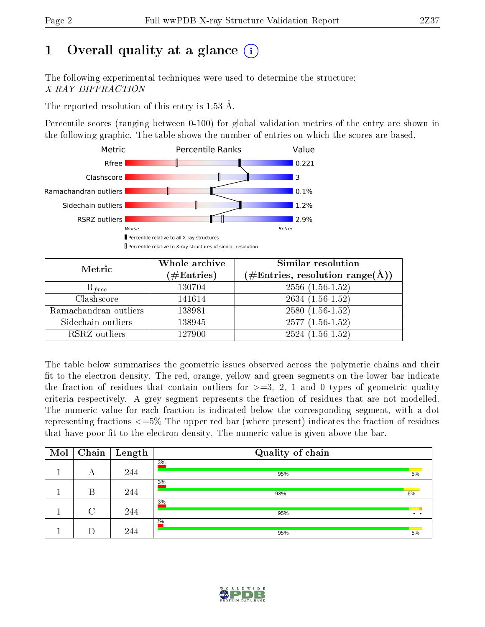# 1 [O](https://www.wwpdb.org/validation/2017/XrayValidationReportHelp#overall_quality)verall quality at a glance  $(i)$

The following experimental techniques were used to determine the structure: X-RAY DIFFRACTION

The reported resolution of this entry is  $1.53 \text{ Å}.$ 

Percentile scores (ranging between 0-100) for global validation metrics of the entry are shown in the following graphic. The table shows the number of entries on which the scores are based.



| Metric                | Whole archive<br>$(\#\text{Entries})$ | Similar resolution<br>$(\# \text{Entries}, \text{resolution range}(\text{\AA}))$ |
|-----------------------|---------------------------------------|----------------------------------------------------------------------------------|
| $R_{free}$            | 130704                                | $2556(1.56-1.52)$                                                                |
| Clashscore            | 141614                                | $2634(1.56-1.52)$                                                                |
| Ramachandran outliers | 138981                                | $2580(1.56-1.52)$                                                                |
| Sidechain outliers    | 138945                                | $2577(1.56-1.52)$                                                                |
| RSRZ outliers         | 127900                                | $2524(1.56-1.52)$                                                                |

The table below summarises the geometric issues observed across the polymeric chains and their fit to the electron density. The red, orange, yellow and green segments on the lower bar indicate the fraction of residues that contain outliers for  $>=3, 2, 1$  and 0 types of geometric quality criteria respectively. A grey segment represents the fraction of residues that are not modelled. The numeric value for each fraction is indicated below the corresponding segment, with a dot representing fractions  $\epsilon=5\%$  The upper red bar (where present) indicates the fraction of residues that have poor fit to the electron density. The numeric value is given above the bar.

| Mol | Chain  | Length | Quality of chain |     |
|-----|--------|--------|------------------|-----|
|     | А      | 244    | 3%<br>95%        | 5%  |
|     | В      | 244    | 3%<br>93%        | 6%  |
|     | $\cap$ | 244    | 3%<br>95%        | . . |
|     |        | 244    | $2\%$<br>95%     | 5%  |

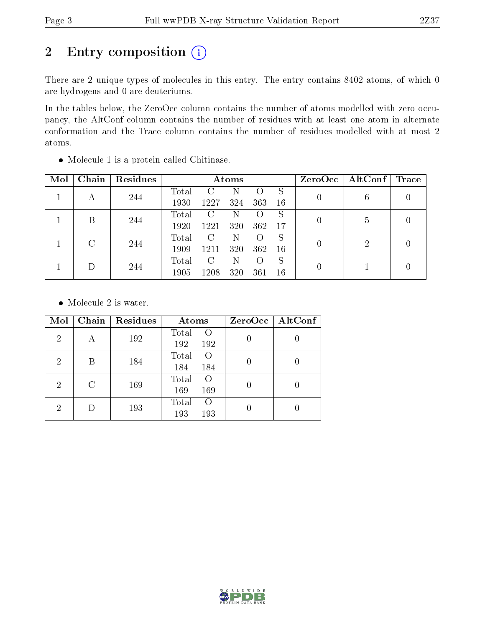# 2 Entry composition (i)

There are 2 unique types of molecules in this entry. The entry contains 8402 atoms, of which 0 are hydrogens and 0 are deuteriums.

In the tables below, the ZeroOcc column contains the number of atoms modelled with zero occupancy, the AltConf column contains the number of residues with at least one atom in alternate conformation and the Trace column contains the number of residues modelled with at most 2 atoms.

| Mol | Chain | Residues | Atoms       |      |     |                  |     | $ZeroOcc \   \$ AltConf | $\operatorname{Trace}$ |
|-----|-------|----------|-------------|------|-----|------------------|-----|-------------------------|------------------------|
|     |       |          | $\rm Total$ | C    |     | ( )              | S   | 6                       |                        |
|     | А     | 244      | 1930        | 1227 | 324 | 363              | 16  |                         |                        |
|     | В     | 244      | Total       | C    | N   |                  | S   | 5                       |                        |
|     |       |          | 1920        | 1221 | 320 | 362              | -17 |                         |                        |
|     | C     | 244      | Total       | C    | N   |                  | S   | 2                       |                        |
|     |       |          | 1909        | 1211 | 320 | 362              | 16  |                         |                        |
|     |       |          | Total       | C    | N   | $\left( \right)$ | S   |                         |                        |
|     |       | 244      | 1905        | 1208 | 320 | 361              | 16  |                         |                        |

Molecule 1 is a protein called Chitinase.

• Molecule 2 is water.

| Mol            | Chain         | Residues | Atoms                                   | ZeroOcc   AltConf |
|----------------|---------------|----------|-----------------------------------------|-------------------|
| $\overline{2}$ | А             | 192      | Total<br>$\Omega$<br>192<br>192         |                   |
| 2              | В             | 184      | Total<br>$\left( \right)$<br>184<br>184 |                   |
| 2              | $\mathcal{C}$ | 169      | Total<br>$\left( \right)$<br>169<br>169 |                   |
| 2              |               | 193      | Total<br>$\left( \right)$<br>193<br>193 |                   |

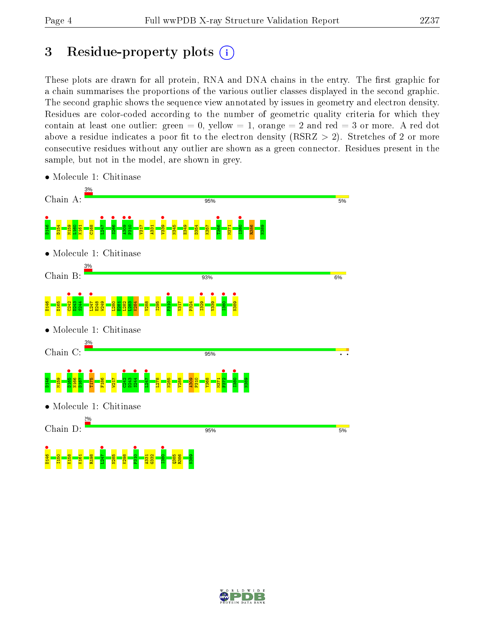# 3 Residue-property plots  $(i)$

These plots are drawn for all protein, RNA and DNA chains in the entry. The first graphic for a chain summarises the proportions of the various outlier classes displayed in the second graphic. The second graphic shows the sequence view annotated by issues in geometry and electron density. Residues are color-coded according to the number of geometric quality criteria for which they contain at least one outlier: green  $= 0$ , yellow  $= 1$ , orange  $= 2$  and red  $= 3$  or more. A red dot above a residue indicates a poor fit to the electron density (RSRZ  $> 2$ ). Stretches of 2 or more consecutive residues without any outlier are shown as a green connector. Residues present in the sample, but not in the model, are shown in grey.



• Molecule 1: Chitinase

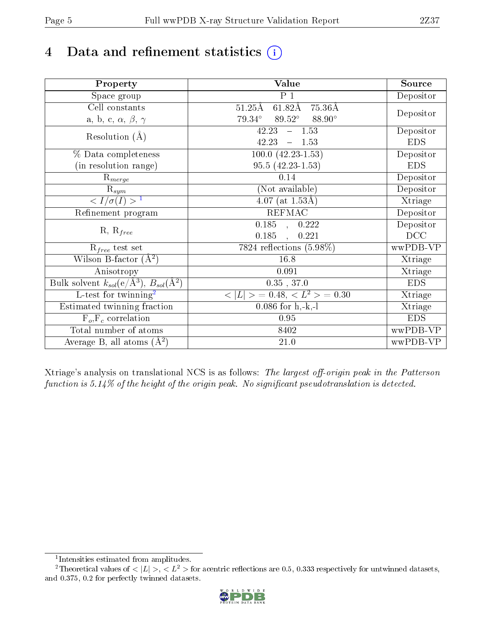# 4 Data and refinement statistics  $(i)$

| Property                                                             | Value                                                       | Source                       |
|----------------------------------------------------------------------|-------------------------------------------------------------|------------------------------|
| Space group                                                          | $\overline{P}1$                                             | Depositor                    |
| Cell constants                                                       | $61.82\text{\AA}$<br>$51.25\text{\AA}$<br>$75.36\text{\AA}$ |                              |
| a, b, c, $\alpha$ , $\beta$ , $\gamma$                               | $89.52^\circ$<br>$79.34^\circ$<br>88.90°                    | Depositor                    |
| Resolution $(A)$                                                     | 42.23<br>$-1.53$                                            | Depositor                    |
|                                                                      | 42.23<br>$-1.53$                                            | <b>EDS</b>                   |
| % Data completeness                                                  | $100.0 (42.23 - 1.53)$                                      | Depositor                    |
| (in resolution range)                                                | $95.5(42.23-1.53)$                                          | <b>EDS</b>                   |
| $R_{merge}$                                                          | 0.14                                                        | Depositor                    |
| $\mathrm{R}_{sym}$                                                   | (Not available)                                             | Depositor                    |
| $\langle I/\sigma(I) \rangle^{-1}$                                   | $4.07$ (at $1.53\text{\AA}$ )                               | Xtriage                      |
| Refinement program                                                   | <b>REFMAC</b>                                               | Depositor                    |
|                                                                      | $0.185$ , $0.222$                                           | Depositor                    |
| $R, R_{free}$                                                        | 0.185<br>0.221<br>$\overline{\phantom{a}}$                  | DCC                          |
| $R_{free}$ test set                                                  | 7824 reflections $(5.98\%)$                                 | wwPDB-VP                     |
| Wilson B-factor $(A^2)$                                              | 16.8                                                        | Xtriage                      |
| Anisotropy                                                           | 0.091                                                       | Xtriage                      |
| Bulk solvent $k_{sol}(e/\mathring{A}^3)$ , $B_{sol}(\mathring{A}^2)$ | $0.35$ , 37.0                                               | <b>EDS</b>                   |
| L-test for twinning <sup>2</sup>                                     | $< L >$ = 0.48, $< L2 >$ = 0.30                             | $\overline{\text{X}}$ triage |
| Estimated twinning fraction                                          | $0.086$ for $h, -k, -l$                                     | Xtriage                      |
| $F_o, F_c$ correlation                                               | 0.95                                                        | <b>EDS</b>                   |
| Total number of atoms                                                | 8402                                                        | wwPDB-VP                     |
| Average B, all atoms $(A^2)$                                         | 21.0                                                        | wwPDB-VP                     |

Xtriage's analysis on translational NCS is as follows: The largest off-origin peak in the Patterson function is  $5.14\%$  of the height of the origin peak. No significant pseudotranslation is detected.

<sup>&</sup>lt;sup>2</sup>Theoretical values of  $\langle |L| \rangle$ ,  $\langle L^2 \rangle$  for acentric reflections are 0.5, 0.333 respectively for untwinned datasets, and 0.375, 0.2 for perfectly twinned datasets.



<span id="page-4-1"></span><span id="page-4-0"></span><sup>1</sup> Intensities estimated from amplitudes.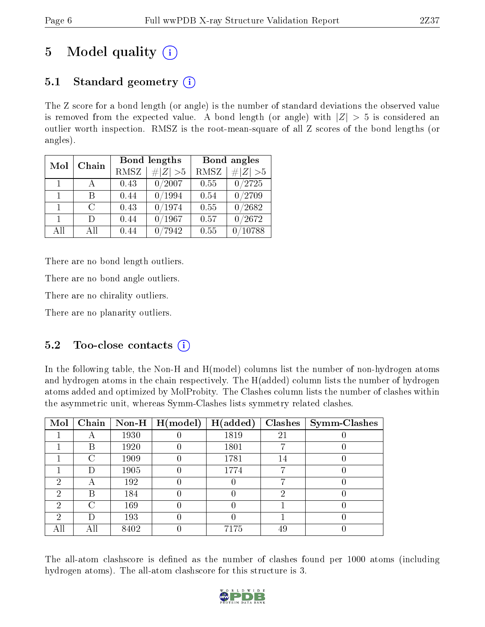# 5 Model quality  $(i)$

### 5.1 Standard geometry  $(i)$

The Z score for a bond length (or angle) is the number of standard deviations the observed value is removed from the expected value. A bond length (or angle) with  $|Z| > 5$  is considered an outlier worth inspection. RMSZ is the root-mean-square of all Z scores of the bond lengths (or angles).

| Mol          | Chain        |      | Bond lengths | Bond angles |             |
|--------------|--------------|------|--------------|-------------|-------------|
|              |              | RMSZ | $\# Z  > 5$  | <b>RMSZ</b> | $\# Z  > 5$ |
| $\Box$       | $\mathbf{A}$ | 0.43 | 0/2007       | 0.55        | 0/2725      |
| $\mathbf{1}$ | R            | 0.44 | /1994        | 0.54        | 0/2709      |
| $\mathbf{1}$ | $\cap$       | 0.43 | 0/1974       | 0.55        | 0/2682      |
| $\mathbf{1}$ | $\Box$       | 0.44 | /1967        | 0.57        | 0/2672      |
| All          | АH           | 0.44 | 7942         | 0.55        | 10788       |

There are no bond length outliers.

There are no bond angle outliers.

There are no chirality outliers.

There are no planarity outliers.

### 5.2 Too-close contacts  $\overline{()}$

In the following table, the Non-H and H(model) columns list the number of non-hydrogen atoms and hydrogen atoms in the chain respectively. The H(added) column lists the number of hydrogen atoms added and optimized by MolProbity. The Clashes column lists the number of clashes within the asymmetric unit, whereas Symm-Clashes lists symmetry related clashes.

| Mol | Chain |      | Non-H $\mid$ H(model) | H(added) |    | $Clashes$   Symm-Clashes |
|-----|-------|------|-----------------------|----------|----|--------------------------|
|     |       | 1930 |                       | 1819     | 21 |                          |
|     | В     | 1920 |                       | 1801     | −  |                          |
|     | C     | 1909 |                       | 1781     | 14 |                          |
|     | Ð     | 1905 |                       | 1774     |    |                          |
| റ   | А     | 192  |                       |          | −  |                          |
| 2   | В     | 184  |                       |          | 2  |                          |
| 2   | C     | 169  |                       |          |    |                          |
| ച   | Ð     | 193  |                       |          |    |                          |
|     | All   | 8402 |                       | 7175     | 49 |                          |

The all-atom clashscore is defined as the number of clashes found per 1000 atoms (including hydrogen atoms). The all-atom clashscore for this structure is 3.

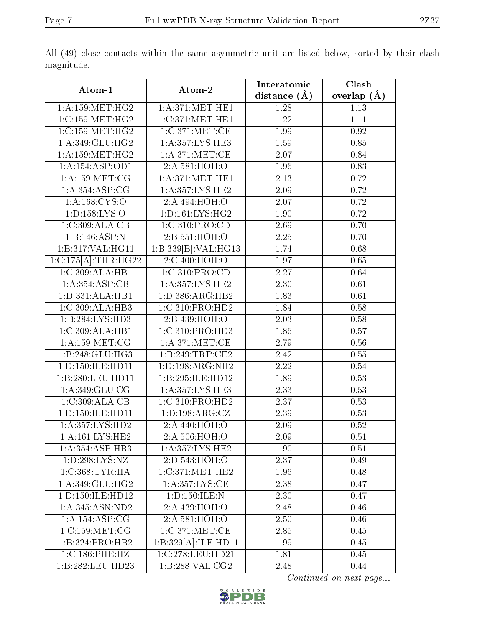| Atom-1                              | Atom-2              | Interatomic    | $\overline{\text{Clash}}$ |
|-------------------------------------|---------------------|----------------|---------------------------|
|                                     |                     | distance $(A)$ | overlap $(\AA)$           |
| 1: A: 159: MET:HG2                  | 1: A:371: MET:HE1   | 1.28           | 1.13                      |
| 1:C:159:MET:HG2                     | 1:C:371:MET:HE1     | 1.22           | 1.11                      |
| 1:C:159:MET:HG2                     | 1:C:371:MET:CE      | 1.99           | 0.92                      |
| 1:A:349:GLU:HG2                     | 1: A: 357: LYS: HE3 | 1.59           | 0.85                      |
| 1: A: 159:MET:HG2                   | 1: A:371:MET:CE     | 2.07           | 0.84                      |
| $1:A:154:\overline{ASP:OD1}$        | 2:A:581:HOH:O       | 1.96           | 0.83                      |
| 1: A: 159: MET: CG                  | 1: A:371:MET:HE1    | 2.13           | 0.72                      |
| 1: A: 354: ASP: CG                  | 1: A: 357: LYS: HE2 | 2.09           | 0.72                      |
| 1: A: 168: CYS:O                    | 2:A:494:HOH:O       | 2.07           | 0.72                      |
| 1:D:158:LYS:O                       | 1: D: 161: LYS: HG2 | 1.90           | 0.72                      |
| 1:C:309:ALA:CB                      | 1:C:310:PRO:CD      | 2.69           | 0.70                      |
| 1:B:146:ASP:N                       | 2:Bi:551:HOH:O      | 2.25           | 0.70                      |
| 1:B:317:VAL:HG11                    | 1:B:339[B]:VAL:HG13 | 1.74           | 0.68                      |
| $1:C:175[A]:\text{THR}:H\text{G22}$ | 2:C:400:HOH:O       | 1.97           | 0.65                      |
| 1:C:309:ALA:HB1                     | 1:C:310:PRO:CD      | 2.27           | 0.64                      |
| 1:A:354:ASP:CB                      | 1:A:357:LYS:HE2     | 2.30           | 0.61                      |
| 1:D:331:ALA:HB1                     | 1: D: 386: ARG: HB2 | 1.83           | 0.61                      |
| 1:C:309:ALA:HB3                     | 1:C:310:PRO:HD2     | 1.84           | 0.58                      |
| 1:B:284:LYS:HD3                     | 2:B:439:HOH:O       | 2.03           | 0.58                      |
| 1:C:309:ALA:HB1                     | 1:C:310:PRO:HD3     | 1.86           | 0.57                      |
| 1: A: 159: MET: CG                  | 1: A:371:MET:CE     | 2.79           | 0.56                      |
| 1:B:248:GLU:HG3                     | 1:B:249:TRP:CE2     | 2.42           | 0.55                      |
| 1:D:150:ILE:HD11                    | 1:D:198:ARG:NH2     | 2.22           | 0.54                      |
| 1:B:280:LEU:HD11                    | 1:B:295:ILE:HD12    | 1.89           | 0.53                      |
| 1:A:349:GLU:CG                      | 1:A:357:LYS:HE3     | 2.33           | 0.53                      |
| 1:C:309:ALA:CB                      | 1:C:310:PRO:HD2     | 2.37           | 0.53                      |
| 1: D: 150: ILE: HD11                | 1: D: 198: ARG: CZ  | 2.39           | 0.53                      |
| 1: A:357: LYS: HD2                  | 2:A:440:HOH:O       | 2.09           | 0.52                      |
| 1: A:161: LYS: HE2                  | 2:A:506:HOH:O       | 2.09           | 0.51                      |
| 1: A: 354: ASP: HB3                 | 1: A: 357: LYS: HE2 | 1.90           | 0.51                      |
| 1: D: 298: LYS: NZ                  | 2:D:543:HOH:O       | 2.37           | 0.49                      |
| 1: C: 368: TYR: HA                  | 1:C:371:MET:HE2     | 1.96           | 0.48                      |
| 1: A:349: GLU: HG2                  | 1:A:357:LYS:CE      | 2.38           | 0.47                      |
| 1: D: 150: ILE: HD12                | 1:D:150:ILE:N       | 2.30           | 0.47                      |
| 1: A:345: ASN:ND2                   | 2: A:439:HOH:O      | 2.48           | 0.46                      |
| 1: A:154: ASP:CG                    | 2:A:581:HOH:O       | 2.50           | 0.46                      |
| 1:C:159:MET:CG                      | 1:C:371:MET:CE      | 2.85           | 0.45                      |
| 1:B:324:PRO:HB2                     | 1:B:329[A]:ILE:HD11 | 1.99           | 0.45                      |
| 1:C:186:PHE:HZ                      | 1:C:278:LEU:HD21    | 1.81           | 0.45                      |
| 1:B:282:LEU:HD23                    | 1:B:288:VAL:CG2     | 2.48           | 0.44                      |

All (49) close contacts within the same asymmetric unit are listed below, sorted by their clash magnitude.

Continued on next page...

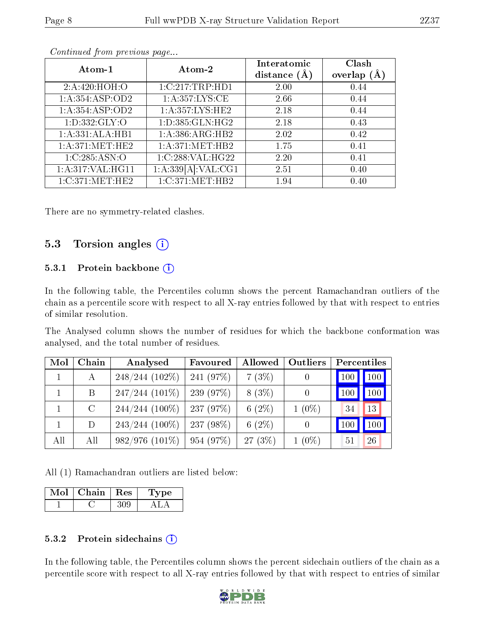| Atom-1             | Atom-2              | Interatomic<br>distance $(A)$ | Clash<br>overlap $(A)$ |
|--------------------|---------------------|-------------------------------|------------------------|
| 2: A:420:HOH:O     | 1:C:217:TRP:HD1     | 2.00                          | 0.44                   |
| 1:A:354:ASP:OD2    | 1: A: 357: LYS: CE  | 2.66                          | 0.44                   |
| 1:A:354:ASP:OD2    | 1: A: 357: LYS: HE2 | 2.18                          | 0.44                   |
| 1: D: 332: GLY: O  | 1: D: 385: GLN: HG2 | 2.18                          | 0.43                   |
| 1:A:331:ALA:HB1    | 1:A:386:ARG:HB2     | 2.02                          | 0.42                   |
| 1: A:371: MET:HE2  | 1: A:371: MET:HB2   | 1.75                          | 0.41                   |
| 1:C:285:ASN:O      | 1:C:288:VAL:HG22    | 2.20                          | 0.41                   |
| 1: A:317: VAL:HGI1 | 1:A:339[A]:VAL:CG1  | 2.51                          | 0.40                   |
| 1:C:371:MET:HE2    | 1:C:371:MET:HB2     | 1.94                          | 0.40                   |

Continued from previous page...

There are no symmetry-related clashes.

#### 5.3 Torsion angles (i)

#### 5.3.1 Protein backbone  $(i)$

In the following table, the Percentiles column shows the percent Ramachandran outliers of the chain as a percentile score with respect to all X-ray entries followed by that with respect to entries of similar resolution.

The Analysed column shows the number of residues for which the backbone conformation was analysed, and the total number of residues.

| Mol | Chain   | Analysed            | Favoured    | Allowed   | Outliers | Percentiles       |
|-----|---------|---------------------|-------------|-----------|----------|-------------------|
|     | А       | $248/244$ (102\%)   | 241(97%)    | 7(3%)     |          | 100<br><b>100</b> |
|     | Β       | $247/244(101\%)$    | 239(97%)    | $8(3\%)$  |          | 100<br><b>100</b> |
|     | $\rm C$ | $244/244(100\%)$    | $-237(97%)$ | 6 $(2\%)$ | $1(0\%)$ | 13<br>34          |
|     | D       | $243/244$ (100\%)   | $237(98\%)$ | 6 $(2\%)$ |          | 100<br>100        |
| All | All     | $982/976$ $(101\%)$ | 954(97%)    | $27(3\%)$ | $1(0\%)$ | 26<br>51          |

All (1) Ramachandran outliers are listed below:

| Mol | Chain   Res | 'Type |
|-----|-------------|-------|
|     |             |       |

#### 5.3.2 Protein sidechains  $(i)$

In the following table, the Percentiles column shows the percent sidechain outliers of the chain as a percentile score with respect to all X-ray entries followed by that with respect to entries of similar

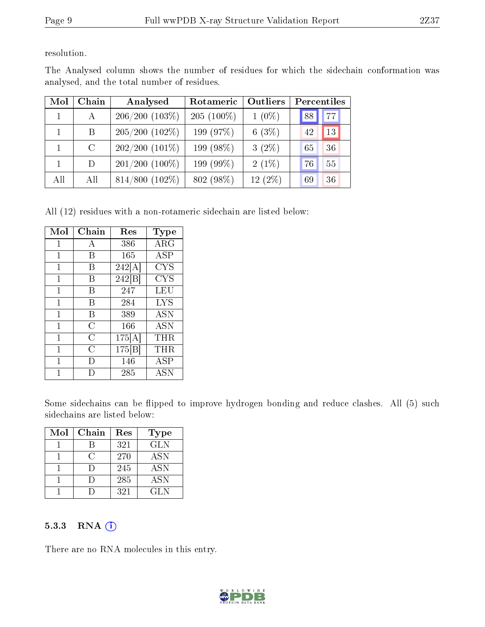resolution.

| Mol          | Chain         | Analysed            | Rotameric    | Outliers | Percentiles |    |
|--------------|---------------|---------------------|--------------|----------|-------------|----|
| $\mathbf{1}$ | $\bf{A}$      | $206/200(103\%)$    | $205(100\%)$ | $1(0\%)$ | 88          | 77 |
|              | B             | $205/200$ $(102\%)$ | 199 (97%)    | 6(3%)    | 42          | 13 |
|              | $\mathcal{C}$ | $202/200$ $(101\%)$ | 199 (98%)    | $3(2\%)$ | 65          | 36 |
|              | D             | $201/200$ (100\%)   | 199 (99%)    | $2(1\%)$ | 76          | 55 |
| All          | All           | $814/800$ $(102\%)$ | 802 (98%)    | 12(2%)   | 69          | 36 |

The Analysed column shows the number of residues for which the sidechain conformation was analysed, and the total number of residues.

All (12) residues with a non-rotameric sidechain are listed below:

| Mol            | Chain | $\operatorname{Res}$ | Type       |
|----------------|-------|----------------------|------------|
| 1              | А     | 386                  | $\rm{ARG}$ |
| 1              | В     | 165                  | <b>ASP</b> |
| 1              | В     | 242[A]               | <b>CYS</b> |
| 1              | В     | 242 B                | <b>CYS</b> |
| 1              | В     | 247                  | LEU        |
| 1              | В     | 284                  | <b>LYS</b> |
| 1              | В     | 389                  | ASN        |
| 1              | C     | 166                  | ASN        |
| 1              | C     | 175[A]               | THR        |
| $\overline{1}$ | C     | 175[B]               | $\rm THR$  |
| 1              | Ð     | 146                  | ASP        |
|                |       | 285                  | ASN        |

Some sidechains can be flipped to improve hydrogen bonding and reduce clashes. All (5) such sidechains are listed below:

| Mol | Chain | Res | Type       |
|-----|-------|-----|------------|
|     |       | 321 | <b>GLN</b> |
|     | 6     | 270 | <b>ASN</b> |
|     |       | 245 | <b>ASN</b> |
|     |       | 285 | <b>ASN</b> |
|     |       | 321 | GL N       |

#### 5.3.3 RNA [O](https://www.wwpdb.org/validation/2017/XrayValidationReportHelp#rna)i

There are no RNA molecules in this entry.

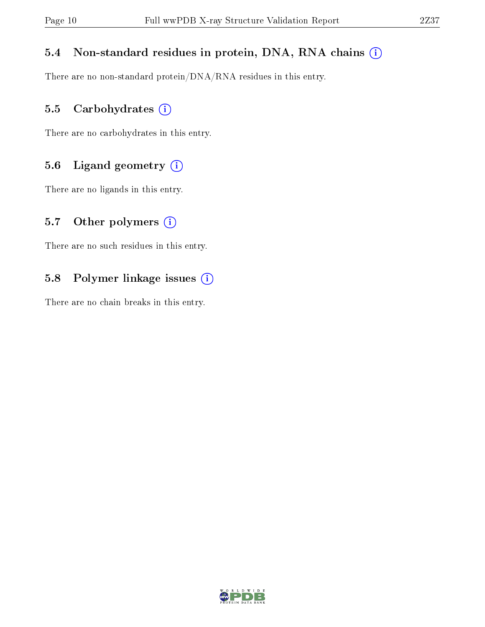### 5.4 Non-standard residues in protein, DNA, RNA chains (i)

There are no non-standard protein/DNA/RNA residues in this entry.

### 5.5 Carbohydrates (i)

There are no carbohydrates in this entry.

### 5.6 Ligand geometry (i)

There are no ligands in this entry.

#### 5.7 [O](https://www.wwpdb.org/validation/2017/XrayValidationReportHelp#nonstandard_residues_and_ligands)ther polymers  $(i)$

There are no such residues in this entry.

### 5.8 Polymer linkage issues (i)

There are no chain breaks in this entry.

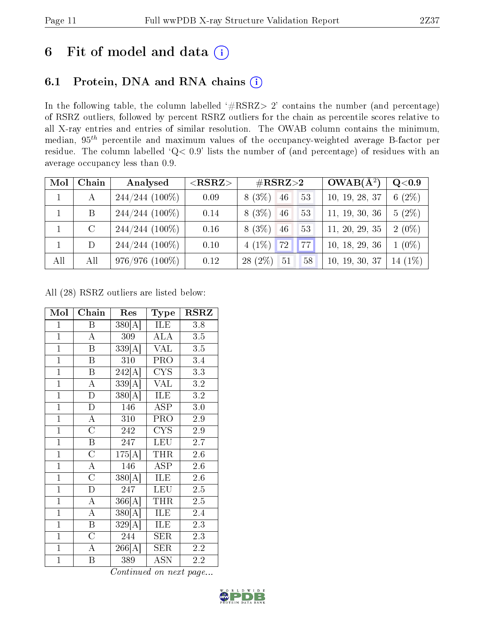## 6 Fit of model and data  $(i)$

### 6.1 Protein, DNA and RNA chains  $(i)$

In the following table, the column labelled  $#RSRZ> 2'$  contains the number (and percentage) of RSRZ outliers, followed by percent RSRZ outliers for the chain as percentile scores relative to all X-ray entries and entries of similar resolution. The OWAB column contains the minimum, median,  $95<sup>th</sup>$  percentile and maximum values of the occupancy-weighted average B-factor per residue. The column labelled ' $Q< 0.9$ ' lists the number of (and percentage) of residues with an average occupancy less than 0.9.

| Mol | Chain   | Analysed          | ${ <\hspace{-1.5pt}{\mathrm{RSRZ}} \hspace{-1.5pt}>}$ | $\#\text{RSRZ}{>}2$         | $OWAB(A^2)$    | Q <sub>0.9</sub> |
|-----|---------|-------------------|-------------------------------------------------------|-----------------------------|----------------|------------------|
|     | А       | $244/244$ (100\%) | 0.09                                                  | (3%)<br>46<br>53<br>8       | 10, 19, 28, 37 | $(2\%)$<br>6     |
|     | B       | $244/244$ (100\%) | 0.14                                                  | 8(3%)<br>46<br>53           | 11, 19, 30, 36 | $5(2\%)$         |
|     | $\rm C$ | $244/244$ (100%)  | 0.16                                                  | 8(3%)<br>46<br>53           | 11, 20, 29, 35 | $2(0\%)$         |
|     | D       | $244/244$ (100%)  | 0.10                                                  | $4(1\%)$<br> 72 <br>$'77_1$ | 10, 18, 29, 36 | $1(0\%)$         |
| All | All     | $976/976(100\%)$  | 0.12                                                  | $28(2\%)$<br>51<br>58       | 10, 19, 30, 37 | 14 (1%)          |

All (28) RSRZ outliers are listed below:

| Mol            | Chain                   | Res                  | Type                    | $\operatorname{RSRZ}$ |
|----------------|-------------------------|----------------------|-------------------------|-----------------------|
| $\mathbf{1}$   | $\mathbf{B}$            | 380[A]               | ILE                     | 3.8                   |
| $\overline{1}$ | $\overline{\rm A}$      | 309                  | <b>ALA</b>              | $3.5\,$               |
| $\overline{1}$ | $\overline{\mathrm{B}}$ | 339[A]               | <b>VAL</b>              | $\overline{3.5}$      |
| $\overline{1}$ | $\overline{\mathbf{B}}$ | 310                  | PRO                     | 3.4                   |
| $\overline{1}$ | $\overline{B}$          | $\overline{242[A]}$  | <b>CYS</b>              | 3.3                   |
| $\overline{1}$ | $\overline{\rm A}$      | $\overline{339[A]}$  | <b>VAL</b>              | 3.2                   |
| $\overline{1}$ | $\overline{\rm D}$      | $\overline{380[A]}$  | ILE                     | $\overline{3}.2$      |
| $\overline{1}$ | $\overline{D}$          | 146                  | ASP                     | 3.0                   |
| $\overline{1}$ | $\overline{\rm A}$      | 310                  | PRO                     | 2.9                   |
| $\overline{1}$ | $\overline{\rm C}$      | 242                  | $\overline{\text{CYS}}$ | $\overline{2.9}$      |
| $\mathbf{1}$   | $\overline{\mathrm{B}}$ | 247                  | <b>LEU</b>              | 2.7                   |
| $\overline{1}$ | $\overline{\rm C}$      | 175[A]               | <b>THR</b>              | 2.6                   |
| $\overline{1}$ | $\overline{\rm A}$      | 146                  | <b>ASP</b>              | 2.6                   |
| $\mathbf{1}$   | $\overline{\text{C}}$   | 380[A]               | ILE                     | 2.6                   |
| $\overline{1}$ | $\overline{\rm D}$      | 247                  | <b>LEU</b>              | $2.5\,$               |
| $\overline{1}$ | $\overline{\rm A}$      | $\overline{366}$ [A] | <b>THR</b>              | $2.5\,$               |
| $\overline{1}$ | $\overline{\rm A}$      | 380[A]               | ILE                     | 2.4                   |
| $\mathbf{1}$   | $\mathbf B$             | 329[A]               | ILE                     | 2.3                   |
| $\mathbf{1}$   | $\overline{\rm C}$      | 244                  | ${\rm SER}$             | 2.3                   |
| $\overline{1}$ | $\overline{A}$          | 266[A]               | $\overline{\text{SER}}$ | $\overline{2.2}$      |
| $\overline{1}$ | $\boldsymbol{B}$        | 389                  | <b>ASN</b>              | 2.2                   |

Continued on next page...